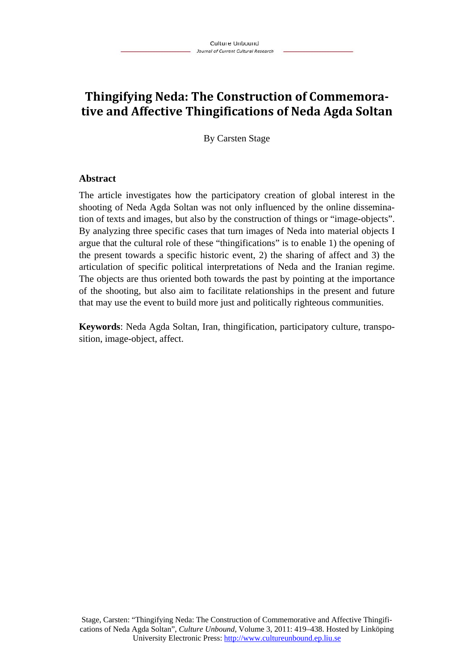# **Thingifying Neda: The Construction of Commemora‐ tive and Affective Thingifications of Neda Agda Soltan**

By Carsten Stage

### **Abstract**

The article investigates how the participatory creation of global interest in the shooting of Neda Agda Soltan was not only influenced by the online dissemination of texts and images, but also by the construction of things or "image-objects". By analyzing three specific cases that turn images of Neda into material objects I argue that the cultural role of these "thingifications" is to enable 1) the opening of the present towards a specific historic event, 2) the sharing of affect and 3) the articulation of specific political interpretations of Neda and the Iranian regime. The objects are thus oriented both towards the past by pointing at the importance of the shooting, but also aim to facilitate relationships in the present and future that may use the event to build more just and politically righteous communities.

**Keywords**: Neda Agda Soltan, Iran, thingification, participatory culture, transposition, image-object, affect.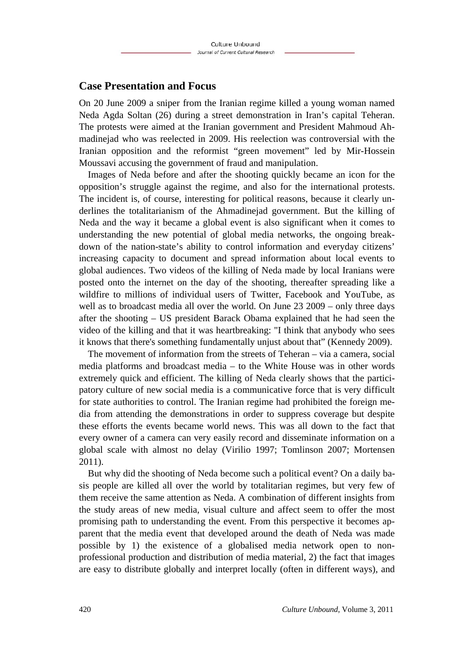### **Case Presentation and Focus**

On 20 June 2009 a sniper from the Iranian regime killed a young woman named Neda Agda Soltan (26) during a street demonstration in Iran's capital Teheran. The protests were aimed at the Iranian government and President Mahmoud Ahmadinejad who was reelected in 2009. His reelection was controversial with the Iranian opposition and the reformist "green movement" led by Mir-Hossein Moussavi accusing the government of fraud and manipulation.

Images of Neda before and after the shooting quickly became an icon for the opposition's struggle against the regime, and also for the international protests. The incident is, of course, interesting for political reasons, because it clearly underlines the totalitarianism of the Ahmadinejad government. But the killing of Neda and the way it became a global event is also significant when it comes to understanding the new potential of global media networks, the ongoing breakdown of the nation-state's ability to control information and everyday citizens' increasing capacity to document and spread information about local events to global audiences. Two videos of the killing of Neda made by local Iranians were posted onto the internet on the day of the shooting, thereafter spreading like a wildfire to millions of individual users of Twitter, Facebook and YouTube, as well as to broadcast media all over the world. On June 23 2009 – only three days after the shooting – US president Barack Obama explained that he had seen the video of the killing and that it was heartbreaking: "I think that anybody who sees it knows that there's something fundamentally unjust about that" (Kennedy 2009).

The movement of information from the streets of Teheran – via a camera, social media platforms and broadcast media – to the White House was in other words extremely quick and efficient. The killing of Neda clearly shows that the participatory culture of new social media is a communicative force that is very difficult for state authorities to control. The Iranian regime had prohibited the foreign media from attending the demonstrations in order to suppress coverage but despite these efforts the events became world news. This was all down to the fact that every owner of a camera can very easily record and disseminate information on a global scale with almost no delay (Virilio 1997; Tomlinson 2007; Mortensen 2011).

But why did the shooting of Neda become such a political event? On a daily basis people are killed all over the world by totalitarian regimes, but very few of them receive the same attention as Neda. A combination of different insights from the study areas of new media, visual culture and affect seem to offer the most promising path to understanding the event. From this perspective it becomes apparent that the media event that developed around the death of Neda was made possible by 1) the existence of a globalised media network open to nonprofessional production and distribution of media material, 2) the fact that images are easy to distribute globally and interpret locally (often in different ways), and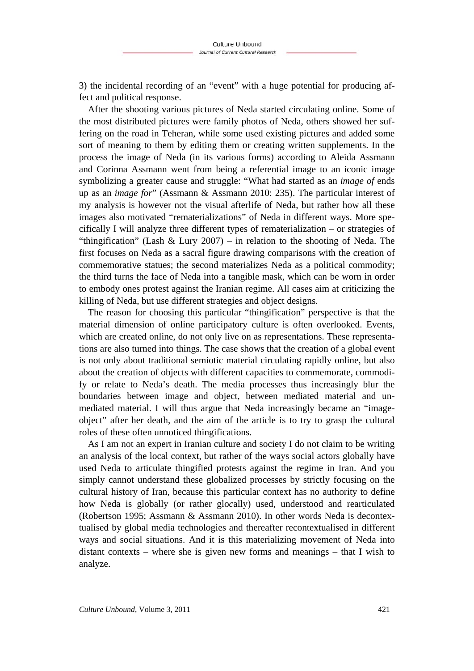3) the incidental recording of an "event" with a huge potential for producing affect and political response.

After the shooting various pictures of Neda started circulating online. Some of the most distributed pictures were family photos of Neda, others showed her suffering on the road in Teheran, while some used existing pictures and added some sort of meaning to them by editing them or creating written supplements. In the process the image of Neda (in its various forms) according to Aleida Assmann and Corinna Assmann went from being a referential image to an iconic image symbolizing a greater cause and struggle: "What had started as an *image of* ends up as an *image for*" (Assmann & Assmann 2010: 235). The particular interest of my analysis is however not the visual afterlife of Neda, but rather how all these images also motivated "rematerializations" of Neda in different ways. More specifically I will analyze three different types of rematerialization – or strategies of "thingification" (Lash & Lury 2007) – in relation to the shooting of Neda. The first focuses on Neda as a sacral figure drawing comparisons with the creation of commemorative statues; the second materializes Neda as a political commodity; the third turns the face of Neda into a tangible mask, which can be worn in order to embody ones protest against the Iranian regime. All cases aim at criticizing the killing of Neda, but use different strategies and object designs.

The reason for choosing this particular "thingification" perspective is that the material dimension of online participatory culture is often overlooked. Events, which are created online, do not only live on as representations. These representations are also turned into things. The case shows that the creation of a global event is not only about traditional semiotic material circulating rapidly online, but also about the creation of objects with different capacities to commemorate, commodify or relate to Neda's death. The media processes thus increasingly blur the boundaries between image and object, between mediated material and unmediated material. I will thus argue that Neda increasingly became an "imageobject" after her death, and the aim of the article is to try to grasp the cultural roles of these often unnoticed thingifications.

As I am not an expert in Iranian culture and society I do not claim to be writing an analysis of the local context, but rather of the ways social actors globally have used Neda to articulate thingified protests against the regime in Iran. And you simply cannot understand these globalized processes by strictly focusing on the cultural history of Iran, because this particular context has no authority to define how Neda is globally (or rather glo*c*ally) used, understood and rearticulated (Robertson 1995; Assmann & Assmann 2010). In other words Neda is decontextualised by global media technologies and thereafter recontextualised in different ways and social situations. And it is this materializing movement of Neda into distant contexts – where she is given new forms and meanings – that I wish to analyze.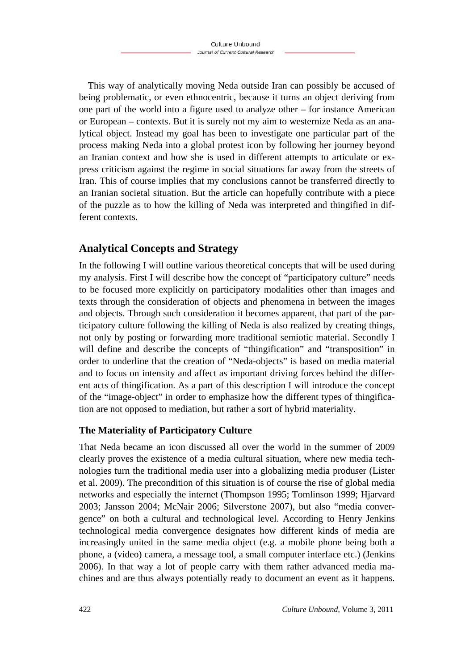This way of analytically moving Neda outside Iran can possibly be accused of being problematic, or even ethnocentric, because it turns an object deriving from one part of the world into a figure used to analyze other – for instance American or European – contexts. But it is surely not my aim to westernize Neda as an analytical object. Instead my goal has been to investigate one particular part of the process making Neda into a global protest icon by following her journey beyond an Iranian context and how she is used in different attempts to articulate or express criticism against the regime in social situations far away from the streets of Iran. This of course implies that my conclusions cannot be transferred directly to an Iranian societal situation. But the article can hopefully contribute with a piece of the puzzle as to how the killing of Neda was interpreted and thingified in different contexts.

## **Analytical Concepts and Strategy**

In the following I will outline various theoretical concepts that will be used during my analysis. First I will describe how the concept of "participatory culture" needs to be focused more explicitly on participatory modalities other than images and texts through the consideration of objects and phenomena in between the images and objects. Through such consideration it becomes apparent, that part of the participatory culture following the killing of Neda is also realized by creating things, not only by posting or forwarding more traditional semiotic material. Secondly I will define and describe the concepts of "thingification" and "transposition" in order to underline that the creation of "Neda-objects" is based on media material and to focus on intensity and affect as important driving forces behind the different acts of thingification. As a part of this description I will introduce the concept of the "image-object" in order to emphasize how the different types of thingification are not opposed to mediation, but rather a sort of hybrid materiality.

### **The Materiality of Participatory Culture**

That Neda became an icon discussed all over the world in the summer of 2009 clearly proves the existence of a media cultural situation, where new media technologies turn the traditional media user into a globalizing media produ*s*er (Lister et al. 2009). The precondition of this situation is of course the rise of global media networks and especially the internet (Thompson 1995; Tomlinson 1999; Hjarvard 2003; Jansson 2004; McNair 2006; Silverstone 2007), but also "media convergence" on both a cultural and technological level. According to Henry Jenkins technological media convergence designates how different kinds of media are increasingly united in the same media object (e.g. a mobile phone being both a phone, a (video) camera, a message tool, a small computer interface etc.) (Jenkins 2006). In that way a lot of people carry with them rather advanced media machines and are thus always potentially ready to document an event as it happens.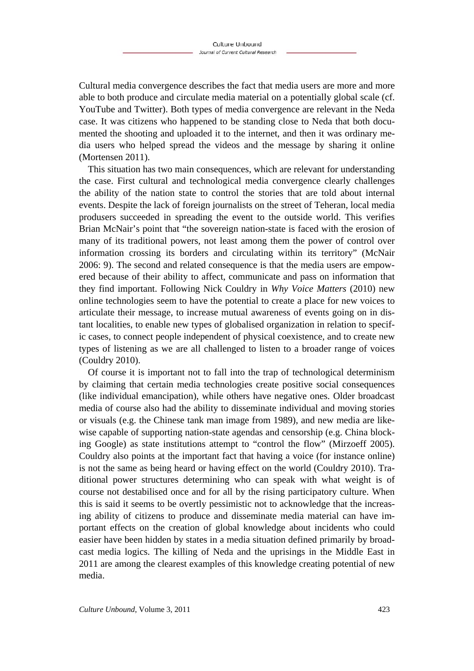Cultural media convergence describes the fact that media users are more and more able to both produce and circulate media material on a potentially global scale (cf. YouTube and Twitter). Both types of media convergence are relevant in the Neda case. It was citizens who happened to be standing close to Neda that both documented the shooting and uploaded it to the internet, and then it was ordinary media users who helped spread the videos and the message by sharing it online (Mortensen 2011).

This situation has two main consequences, which are relevant for understanding the case. First cultural and technological media convergence clearly challenges the ability of the nation state to control the stories that are told about internal events. Despite the lack of foreign journalists on the street of Teheran, local media produ*s*ers succeeded in spreading the event to the outside world. This verifies Brian McNair's point that "the sovereign nation-state is faced with the erosion of many of its traditional powers, not least among them the power of control over information crossing its borders and circulating within its territory" (McNair 2006: 9). The second and related consequence is that the media users are empowered because of their ability to affect, communicate and pass on information that they find important. Following Nick Couldry in *Why Voice Matters* (2010) new online technologies seem to have the potential to create a place for new voices to articulate their message, to increase mutual awareness of events going on in distant localities, to enable new types of globalised organization in relation to specific cases, to connect people independent of physical coexistence, and to create new types of listening as we are all challenged to listen to a broader range of voices (Couldry 2010).

Of course it is important not to fall into the trap of technological determinism by claiming that certain media technologies create positive social consequences (like individual emancipation), while others have negative ones. Older broadcast media of course also had the ability to disseminate individual and moving stories or visuals (e.g. the Chinese tank man image from 1989), and new media are likewise capable of supporting nation-state agendas and censorship (e.g. China blocking Google) as state institutions attempt to "control the flow" (Mirzoeff 2005). Couldry also points at the important fact that having a voice (for instance online) is not the same as being heard or having effect on the world (Couldry 2010). Traditional power structures determining who can speak with what weight is of course not destabilised once and for all by the rising participatory culture. When this is said it seems to be overtly pessimistic not to acknowledge that the increasing ability of citizens to produce and disseminate media material can have important effects on the creation of global knowledge about incidents who could easier have been hidden by states in a media situation defined primarily by broadcast media logics. The killing of Neda and the uprisings in the Middle East in 2011 are among the clearest examples of this knowledge creating potential of new media.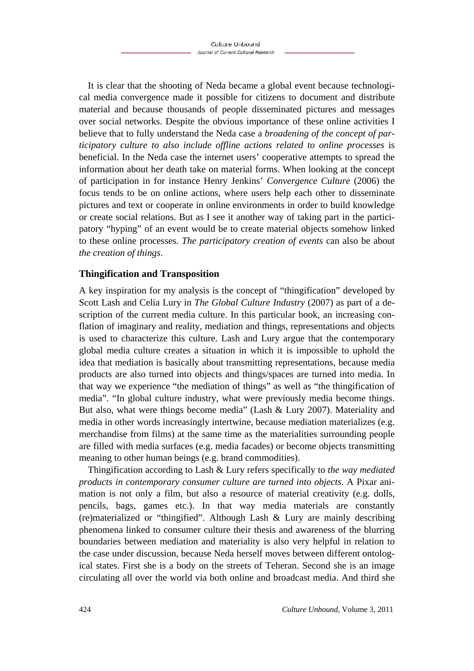It is clear that the shooting of Neda became a global event because technological media convergence made it possible for citizens to document and distribute material and because thousands of people disseminated pictures and messages over social networks. Despite the obvious importance of these online activities I believe that to fully understand the Neda case a *broadening of the concept of participatory culture to also include offline actions related to online processes* is beneficial. In the Neda case the internet users' cooperative attempts to spread the information about her death take on material forms. When looking at the concept of participation in for instance Henry Jenkins' *Convergence Culture* (2006) the focus tends to be on online actions, where users help each other to disseminate pictures and text or cooperate in online environments in order to build knowledge or create social relations. But as I see it another way of taking part in the participatory "hyping" of an event would be to create material objects somehow linked to these online processes. *The participatory creation of events* can also be about *the creation of things*.

### **Thingification and Transposition**

A key inspiration for my analysis is the concept of "thingification" developed by Scott Lash and Celia Lury in *The Global Culture Industry* (2007) as part of a description of the current media culture. In this particular book, an increasing conflation of imaginary and reality, mediation and things, representations and objects is used to characterize this culture. Lash and Lury argue that the contemporary global media culture creates a situation in which it is impossible to uphold the idea that mediation is basically about transmitting representations, because media products are also turned into objects and things/spaces are turned into media. In that way we experience "the mediation of things" as well as "the thingification of media". "In global culture industry, what were previously media become things. But also, what were things become media" (Lash & Lury 2007). Materiality and media in other words increasingly intertwine, because mediation materializes (e.g. merchandise from films) at the same time as the materialities surrounding people are filled with media surfaces (e.g. media facades) or become objects transmitting meaning to other human beings (e.g. brand commodities).

Thingification according to Lash & Lury refers specifically to *the way mediated products in contemporary consumer culture are turned into objects*. A Pixar animation is not only a film, but also a resource of material creativity (e.g. dolls, pencils, bags, games etc.). In that way media materials are constantly (re)materialized or "thingified". Although Lash & Lury are mainly describing phenomena linked to consumer culture their thesis and awareness of the blurring boundaries between mediation and materiality is also very helpful in relation to the case under discussion, because Neda herself moves between different ontological states. First she is a body on the streets of Teheran. Second she is an image circulating all over the world via both online and broadcast media. And third she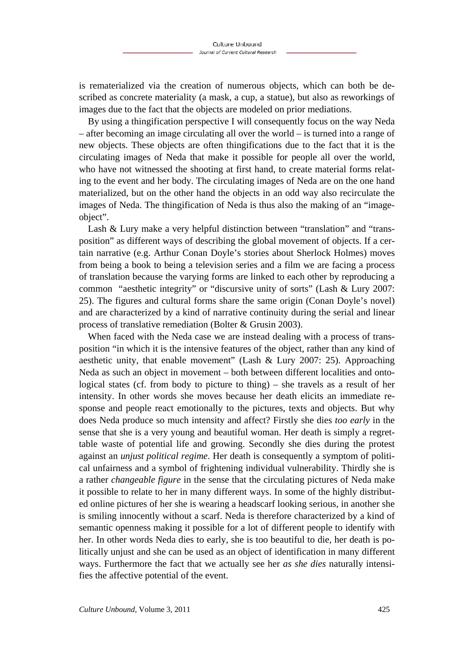is rematerialized via the creation of numerous objects, which can both be described as concrete materiality (a mask, a cup, a statue), but also as reworkings of images due to the fact that the objects are modeled on prior mediations.

By using a thingification perspective I will consequently focus on the way Neda – after becoming an image circulating all over the world – is turned into a range of new objects. These objects are often thingifications due to the fact that it is the circulating images of Neda that make it possible for people all over the world, who have not witnessed the shooting at first hand, to create material forms relating to the event and her body. The circulating images of Neda are on the one hand materialized, but on the other hand the objects in an odd way also recirculate the images of Neda. The thingification of Neda is thus also the making of an "imageobject".

Lash & Lury make a very helpful distinction between "translation" and "transposition" as different ways of describing the global movement of objects. If a certain narrative (e.g. Arthur Conan Doyle's stories about Sherlock Holmes) moves from being a book to being a television series and a film we are facing a process of translation because the varying forms are linked to each other by reproducing a common "aesthetic integrity" or "discursive unity of sorts" (Lash & Lury 2007: 25). The figures and cultural forms share the same origin (Conan Doyle's novel) and are characterized by a kind of narrative continuity during the serial and linear process of translative remediation (Bolter & Grusin 2003).

When faced with the Neda case we are instead dealing with a process of transposition "in which it is the intensive features of the object, rather than any kind of aesthetic unity, that enable movement" (Lash & Lury 2007: 25). Approaching Neda as such an object in movement – both between different localities and ontological states (cf. from body to picture to thing) – she travels as a result of her intensity. In other words she moves because her death elicits an immediate response and people react emotionally to the pictures, texts and objects. But why does Neda produce so much intensity and affect? Firstly she dies *too early* in the sense that she is a very young and beautiful woman. Her death is simply a regrettable waste of potential life and growing. Secondly she dies during the protest against an *unjust political regime*. Her death is consequently a symptom of political unfairness and a symbol of frightening individual vulnerability. Thirdly she is a rather *changeable figure* in the sense that the circulating pictures of Neda make it possible to relate to her in many different ways. In some of the highly distributed online pictures of her she is wearing a headscarf looking serious, in another she is smiling innocently without a scarf. Neda is therefore characterized by a kind of semantic openness making it possible for a lot of different people to identify with her. In other words Neda dies to early, she is too beautiful to die, her death is politically unjust and she can be used as an object of identification in many different ways. Furthermore the fact that we actually see her *as she dies* naturally intensifies the affective potential of the event.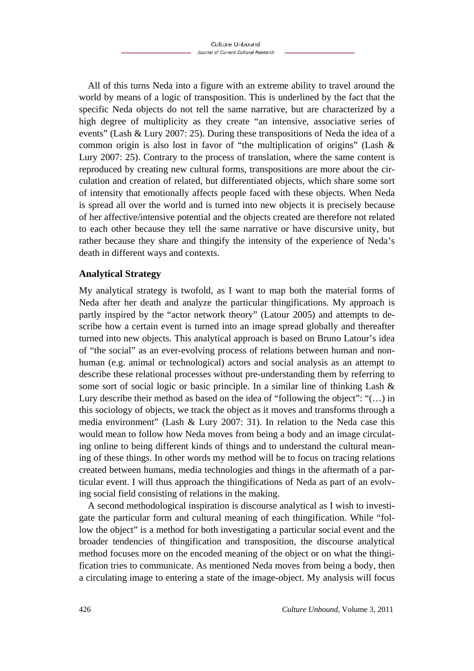All of this turns Neda into a figure with an extreme ability to travel around the world by means of a logic of transposition. This is underlined by the fact that the specific Neda objects do not tell the same narrative, but are characterized by a high degree of multiplicity as they create "an intensive, associative series of events" (Lash & Lury 2007: 25). During these transpositions of Neda the idea of a common origin is also lost in favor of "the multiplication of origins" (Lash & Lury 2007: 25). Contrary to the process of translation, where the same content is reproduced by creating new cultural forms, transpositions are more about the circulation and creation of related, but differentiated objects, which share some sort of intensity that emotionally affects people faced with these objects. When Neda is spread all over the world and is turned into new objects it is precisely because of her affective/intensive potential and the objects created are therefore not related to each other because they tell the same narrative or have discursive unity, but rather because they share and thingify the intensity of the experience of Neda's death in different ways and contexts.

### **Analytical Strategy**

My analytical strategy is twofold, as I want to map both the material forms of Neda after her death and analyze the particular thingifications. My approach is partly inspired by the "actor network theory" (Latour 2005) and attempts to describe how a certain event is turned into an image spread globally and thereafter turned into new objects. This analytical approach is based on Bruno Latour's idea of "the social" as an ever-evolving process of relations between human and nonhuman (e.g. animal or technological) actors and social analysis as an attempt to describe these relational processes without pre-understanding them by referring to some sort of social logic or basic principle. In a similar line of thinking Lash & Lury describe their method as based on the idea of "following the object": "(…) in this sociology of objects, we track the object as it moves and transforms through a media environment" (Lash & Lury 2007: 31). In relation to the Neda case this would mean to follow how Neda moves from being a body and an image circulating online to being different kinds of things and to understand the cultural meaning of these things. In other words my method will be to focus on tracing relations created between humans, media technologies and things in the aftermath of a particular event. I will thus approach the thingifications of Neda as part of an evolving social field consisting of relations in the making.

A second methodological inspiration is discourse analytical as I wish to investigate the particular form and cultural meaning of each thingification. While "follow the object" is a method for both investigating a particular social event and the broader tendencies of thingification and transposition, the discourse analytical method focuses more on the encoded meaning of the object or on what the thingification tries to communicate. As mentioned Neda moves from being a body, then a circulating image to entering a state of the image-object. My analysis will focus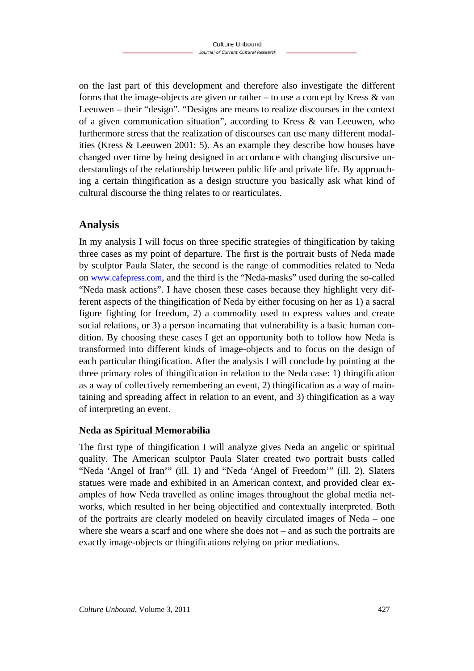on the last part of this development and therefore also investigate the different forms that the image-objects are given or rather – to use a concept by Kress & van Leeuwen – their "design". "Designs are means to realize discourses in the context of a given communication situation", according to Kress & van Leeuwen, who furthermore stress that the realization of discourses can use many different modalities (Kress & Leeuwen 2001: 5). As an example they describe how houses have changed over time by being designed in accordance with changing discursive understandings of the relationship between public life and private life. By approaching a certain thingification as a design structure you basically ask what kind of cultural discourse the thing relates to or rearticulates.

### **Analysis**

In my analysis I will focus on three specific strategies of thingification by taking three cases as my point of departure. The first is the portrait busts of Neda made by sculptor Paula Slater, the second is the range of commodities related to Neda on www.cafepress.com, and the third is the "Neda-masks" used during the so-called "Neda mask actions". I have chosen these cases because they highlight very different aspects of the thingification of Neda by either focusing on her as 1) a sacral figure fighting for freedom, 2) a commodity used to express values and create social relations, or 3) a person incarnating that vulnerability is a basic human condition. By choosing these cases I get an opportunity both to follow how Neda is transformed into different kinds of image-objects and to focus on the design of each particular thingification. After the analysis I will conclude by pointing at the three primary roles of thingification in relation to the Neda case: 1) thingification as a way of collectively remembering an event, 2) thingification as a way of maintaining and spreading affect in relation to an event, and 3) thingification as a way of interpreting an event.

### **Neda as Spiritual Memorabilia**

The first type of thingification I will analyze gives Neda an angelic or spiritual quality. The American sculptor Paula Slater created two portrait busts called "Neda 'Angel of Iran'" (ill. 1) and "Neda 'Angel of Freedom'" (ill. 2). Slaters statues were made and exhibited in an American context, and provided clear examples of how Neda travelled as online images throughout the global media networks, which resulted in her being objectified and contextually interpreted. Both of the portraits are clearly modeled on heavily circulated images of Neda – one where she wears a scarf and one where she does not – and as such the portraits are exactly image-objects or thingifications relying on prior mediations.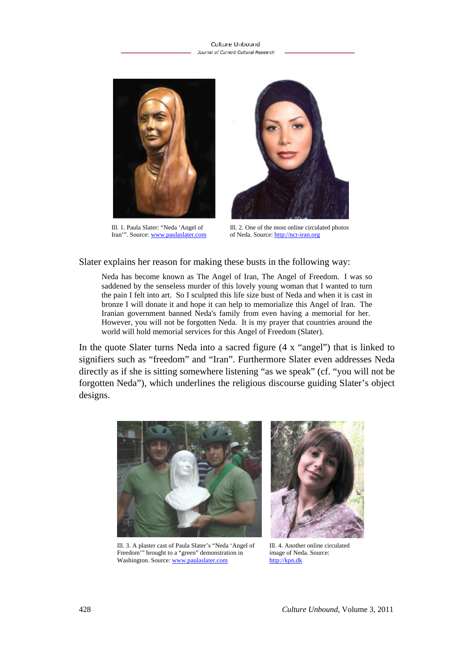#### Culture Unbound Journal of Current Cultural Research



Ill. 1. Paula Slater: "Neda 'Angel of Iran'". Source: www.paulaslater.com



Ill. 2. One of the most online circulated photos of Neda. Source: http://ncr-iran.org

#### Slater explains her reason for making these busts in the following way:

Neda has become known as The Angel of Iran, The Angel of Freedom. I was so saddened by the senseless murder of this lovely young woman that I wanted to turn the pain I felt into art. So I sculpted this life size bust of Neda and when it is cast in bronze I will donate it and hope it can help to memorialize this Angel of Iran. The Iranian government banned Neda's family from even having a memorial for her. However, you will not be forgotten Neda. It is my prayer that countries around the world will hold memorial services for this Angel of Freedom (Slater).

In the quote Slater turns Neda into a sacred figure (4 x "angel") that is linked to signifiers such as "freedom" and "Iran". Furthermore Slater even addresses Neda directly as if she is sitting somewhere listening "as we speak" (cf. "you will not be forgotten Neda"), which underlines the religious discourse guiding Slater's object designs.



Ill. 3. A plaster cast of Paula Slater's "Neda 'Angel of Freedom'" brought to a "green" demonstration in Washington. Source: www.paulaslater.com



Ill. 4. Another online circulated image of Neda. Source: http://kpn.dk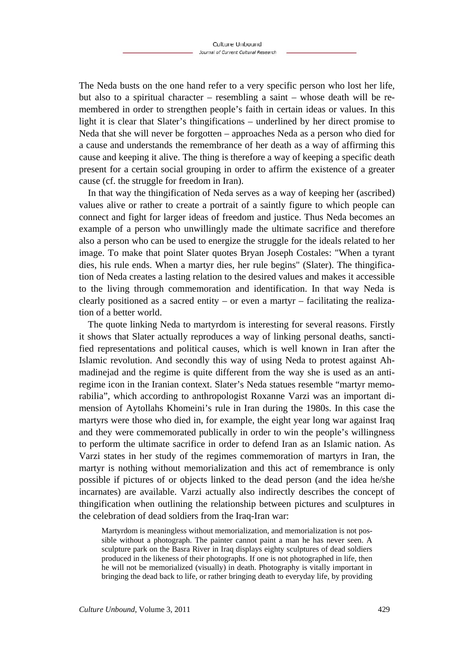The Neda busts on the one hand refer to a very specific person who lost her life, but also to a spiritual character – resembling a saint – whose death will be remembered in order to strengthen people's faith in certain ideas or values. In this light it is clear that Slater's thingifications – underlined by her direct promise to Neda that she will never be forgotten – approaches Neda as a person who died for a cause and understands the remembrance of her death as a way of affirming this cause and keeping it alive. The thing is therefore a way of keeping a specific death present for a certain social grouping in order to affirm the existence of a greater cause (cf. the struggle for freedom in Iran).

In that way the thingification of Neda serves as a way of keeping her (ascribed) values alive or rather to create a portrait of a saintly figure to which people can connect and fight for larger ideas of freedom and justice. Thus Neda becomes an example of a person who unwillingly made the ultimate sacrifice and therefore also a person who can be used to energize the struggle for the ideals related to her image. To make that point Slater quotes Bryan Joseph Costales: "When a tyrant dies, his rule ends. When a martyr dies, her rule begins" (Slater). The thingification of Neda creates a lasting relation to the desired values and makes it accessible to the living through commemoration and identification. In that way Neda is clearly positioned as a sacred entity – or even a martyr – facilitating the realization of a better world.

The quote linking Neda to martyrdom is interesting for several reasons. Firstly it shows that Slater actually reproduces a way of linking personal deaths, sanctified representations and political causes, which is well known in Iran after the Islamic revolution. And secondly this way of using Neda to protest against Ahmadinejad and the regime is quite different from the way she is used as an antiregime icon in the Iranian context. Slater's Neda statues resemble "martyr memorabilia", which according to anthropologist Roxanne Varzi was an important dimension of Aytollahs Khomeini's rule in Iran during the 1980s. In this case the martyrs were those who died in, for example, the eight year long war against Iraq and they were commemorated publically in order to win the people's willingness to perform the ultimate sacrifice in order to defend Iran as an Islamic nation. As Varzi states in her study of the regimes commemoration of martyrs in Iran, the martyr is nothing without memorialization and this act of remembrance is only possible if pictures of or objects linked to the dead person (and the idea he/she incarnates) are available. Varzi actually also indirectly describes the concept of thingification when outlining the relationship between pictures and sculptures in the celebration of dead soldiers from the Iraq-Iran war:

Martyrdom is meaningless without memorialization, and memorialization is not possible without a photograph. The painter cannot paint a man he has never seen. A sculpture park on the Basra River in Iraq displays eighty sculptures of dead soldiers produced in the likeness of their photographs. If one is not photographed in life, then he will not be memorialized (visually) in death. Photography is vitally important in bringing the dead back to life, or rather bringing death to everyday life, by providing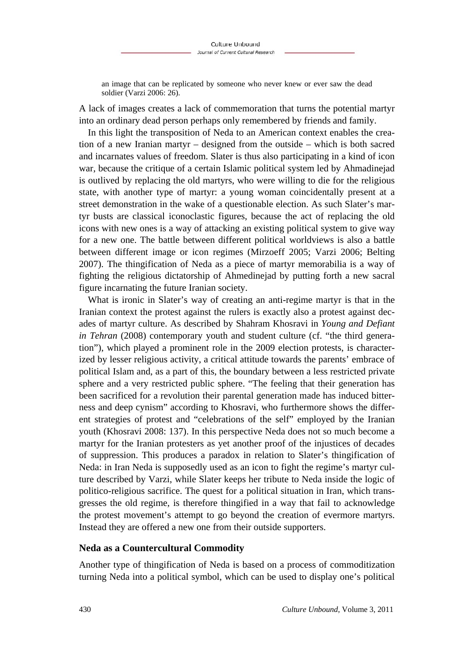an image that can be replicated by someone who never knew or ever saw the dead soldier (Varzi 2006: 26).

A lack of images creates a lack of commemoration that turns the potential martyr into an ordinary dead person perhaps only remembered by friends and family.

In this light the transposition of Neda to an American context enables the creation of a new Iranian martyr – designed from the outside – which is both sacred and incarnates values of freedom. Slater is thus also participating in a kind of icon war, because the critique of a certain Islamic political system led by Ahmadinejad is outlived by replacing the old martyrs, who were willing to die for the religious state, with another type of martyr: a young woman coincidentally present at a street demonstration in the wake of a questionable election. As such Slater's martyr busts are classical iconoclastic figures, because the act of replacing the old icons with new ones is a way of attacking an existing political system to give way for a new one. The battle between different political worldviews is also a battle between different image or icon regimes (Mirzoeff 2005; Varzi 2006; Belting 2007). The thingification of Neda as a piece of martyr memorabilia is a way of fighting the religious dictatorship of Ahmedinejad by putting forth a new sacral figure incarnating the future Iranian society.

What is ironic in Slater's way of creating an anti-regime martyr is that in the Iranian context the protest against the rulers is exactly also a protest against decades of martyr culture. As described by Shahram Khosravi in *Young and Defiant in Tehran* (2008) contemporary youth and student culture (cf. "the third generation"), which played a prominent role in the 2009 election protests, is characterized by lesser religious activity, a critical attitude towards the parents' embrace of political Islam and, as a part of this, the boundary between a less restricted private sphere and a very restricted public sphere. "The feeling that their generation has been sacrificed for a revolution their parental generation made has induced bitterness and deep cynism" according to Khosravi, who furthermore shows the different strategies of protest and "celebrations of the self" employed by the Iranian youth (Khosravi 2008: 137). In this perspective Neda does not so much become a martyr for the Iranian protesters as yet another proof of the injustices of decades of suppression. This produces a paradox in relation to Slater's thingification of Neda: in Iran Neda is supposedly used as an icon to fight the regime's martyr culture described by Varzi, while Slater keeps her tribute to Neda inside the logic of politico-religious sacrifice. The quest for a political situation in Iran, which transgresses the old regime, is therefore thingified in a way that fail to acknowledge the protest movement's attempt to go beyond the creation of evermore martyrs. Instead they are offered a new one from their outside supporters.

#### **Neda as a Countercultural Commodity**

Another type of thingification of Neda is based on a process of commoditization turning Neda into a political symbol, which can be used to display one's political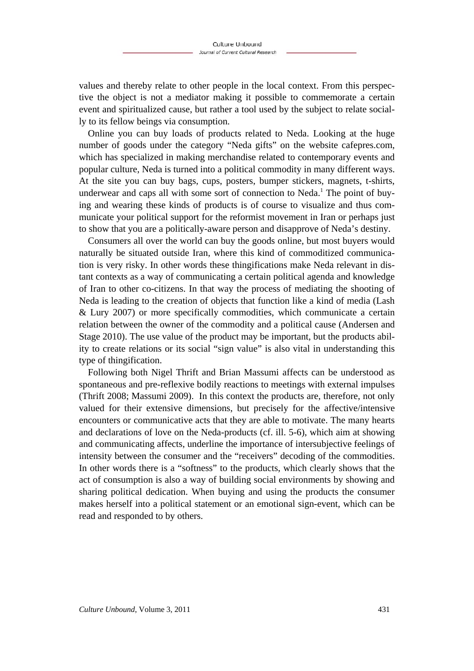values and thereby relate to other people in the local context. From this perspective the object is not a mediator making it possible to commemorate a certain event and spiritualized cause, but rather a tool used by the subject to relate socially to its fellow beings via consumption.

Online you can buy loads of products related to Neda. Looking at the huge number of goods under the category "Neda gifts" on the website cafepres.com, which has specialized in making merchandise related to contemporary events and popular culture, Neda is turned into a political commodity in many different ways. At the site you can buy bags, cups, posters, bumper stickers, magnets, t-shirts, underwear and caps all with some sort of connection to Neda.<sup>1</sup> The point of buying and wearing these kinds of products is of course to visualize and thus communicate your political support for the reformist movement in Iran or perhaps just to show that you are a politically-aware person and disapprove of Neda's destiny.

Consumers all over the world can buy the goods online, but most buyers would naturally be situated outside Iran, where this kind of commoditized communication is very risky. In other words these thingifications make Neda relevant in distant contexts as a way of communicating a certain political agenda and knowledge of Iran to other co-citizens. In that way the process of mediating the shooting of Neda is leading to the creation of objects that function like a kind of media (Lash & Lury 2007) or more specifically commodities, which communicate a certain relation between the owner of the commodity and a political cause (Andersen and Stage 2010). The use value of the product may be important, but the products ability to create relations or its social "sign value" is also vital in understanding this type of thingification.

Following both Nigel Thrift and Brian Massumi affects can be understood as spontaneous and pre-reflexive bodily reactions to meetings with external impulses (Thrift 2008; Massumi 2009). In this context the products are, therefore, not only valued for their extensive dimensions, but precisely for the affective/intensive encounters or communicative acts that they are able to motivate. The many hearts and declarations of love on the Neda-products (cf. ill. 5-6), which aim at showing and communicating affects, underline the importance of intersubjective feelings of intensity between the consumer and the "receivers" decoding of the commodities. In other words there is a "softness" to the products, which clearly shows that the act of consumption is also a way of building social environments by showing and sharing political dedication. When buying and using the products the consumer makes herself into a political statement or an emotional sign-event, which can be read and responded to by others.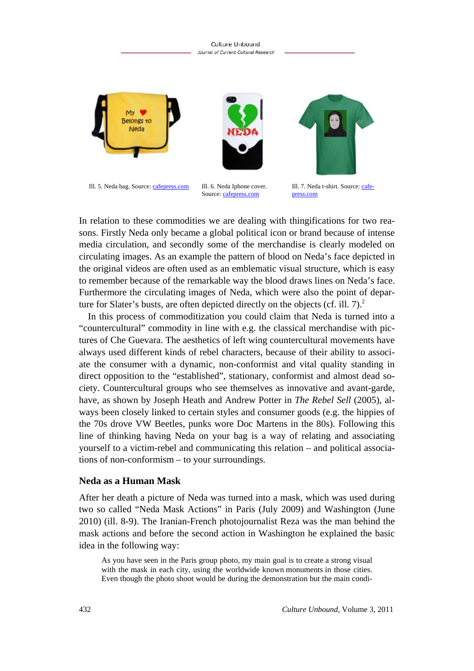

In relation to these commodities we are dealing with thingifications for two reasons. Firstly Neda only became a global political icon or brand because of intense media circulation, and secondly some of the merchandise is clearly modeled on circulating images. As an example the pattern of blood on Neda's face depicted in the original videos are often used as an emblematic visual structure, which is easy to remember because of the remarkable way the blood draws lines on Neda's face. Furthermore the circulating images of Neda, which were also the point of departure for Slater's busts, are often depicted directly on the objects (cf. ill.  $7$ ).<sup>2</sup>

In this process of commoditization you could claim that Neda is turned into a "countercultural" commodity in line with e.g. the classical merchandise with pictures of Che Guevara. The aesthetics of left wing countercultural movements have always used different kinds of rebel characters, because of their ability to associate the consumer with a dynamic, non-conformist and vital quality standing in direct opposition to the "established", stationary, conformist and almost dead society. Countercultural groups who see themselves as innovative and avant-garde, have, as shown by Joseph Heath and Andrew Potter in *The Rebel Sell* (2005), always been closely linked to certain styles and consumer goods (e.g. the hippies of the 70s drove VW Beetles, punks wore Doc Martens in the 80s). Following this line of thinking having Neda on your bag is a way of relating and associating yourself to a victim-rebel and communicating this relation – and political associations of non-conformism – to your surroundings.

#### **Neda as a Human Mask**

After her death a picture of Neda was turned into a mask, which was used during two so called "Neda Mask Actions" in Paris (July 2009) and Washington (June 2010) (ill. 8-9). The Iranian-French photojournalist Reza was the man behind the mask actions and before the second action in Washington he explained the basic idea in the following way:

As you have seen in the Paris group photo, my main goal is to create a strong visual with the mask in each city, using the worldwide known monuments in those cities. Even though the photo shoot would be during the demonstration but the main condi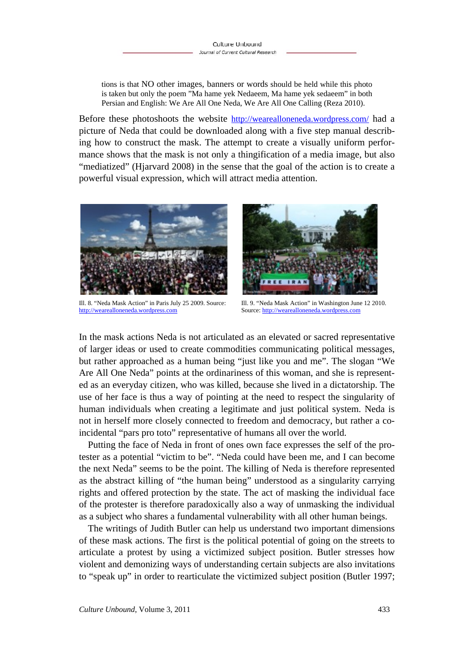tions is that NO other images, banners or words should be held while this photo is taken but only the poem "Ma hame yek Nedaeem, Ma hame yek sedaeem" in both Persian and English: We Are All One Neda, We Are All One Calling (Reza 2010).

Before these photoshoots the website http://wearealloneneda.wordpress.com/ had a picture of Neda that could be downloaded along with a five step manual describing how to construct the mask. The attempt to create a visually uniform performance shows that the mask is not only a thingification of a media image, but also "mediatized" (Hjarvard 2008) in the sense that the goal of the action is to create a powerful visual expression, which will attract media attention.



Ill. 8. "Neda Mask Action" in Paris July 25 2009. Source: http://wearealloneneda.wordpress.com



Ill. 9. "Neda Mask Action" in Washington June 12 2010. Source: http://wearealloneneda.wordpress.com

In the mask actions Neda is not articulated as an elevated or sacred representative of larger ideas or used to create commodities communicating political messages, but rather approached as a human being "just like you and me". The slogan "We Are All One Neda" points at the ordinariness of this woman, and she is represented as an everyday citizen, who was killed, because she lived in a dictatorship. The use of her face is thus a way of pointing at the need to respect the singularity of human individuals when creating a legitimate and just political system. Neda is not in herself more closely connected to freedom and democracy, but rather a coincidental "pars pro toto" representative of humans all over the world.

Putting the face of Neda in front of ones own face expresses the self of the protester as a potential "victim to be". "Neda could have been me, and I can become the next Neda" seems to be the point. The killing of Neda is therefore represented as the abstract killing of "the human being" understood as a singularity carrying rights and offered protection by the state. The act of masking the individual face of the protester is therefore paradoxically also a way of unmasking the individual as a subject who shares a fundamental vulnerability with all other human beings.

The writings of Judith Butler can help us understand two important dimensions of these mask actions. The first is the political potential of going on the streets to articulate a protest by using a victimized subject position. Butler stresses how violent and demonizing ways of understanding certain subjects are also invitations to "speak up" in order to rearticulate the victimized subject position (Butler 1997;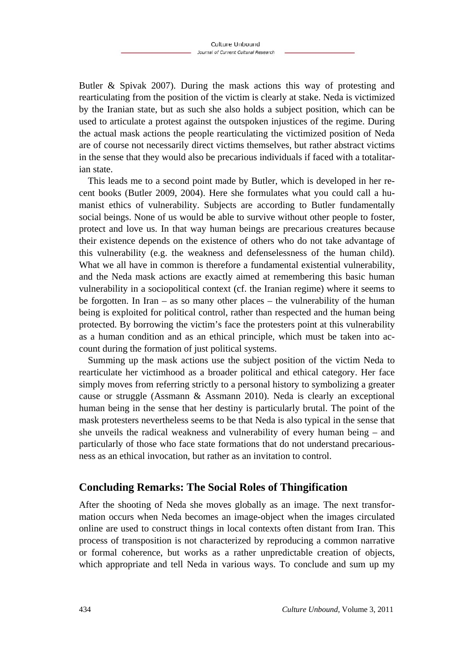Butler & Spivak 2007). During the mask actions this way of protesting and rearticulating from the position of the victim is clearly at stake. Neda is victimized by the Iranian state, but as such she also holds a subject position, which can be used to articulate a protest against the outspoken injustices of the regime. During the actual mask actions the people rearticulating the victimized position of Neda are of course not necessarily direct victims themselves, but rather abstract victims in the sense that they would also be precarious individuals if faced with a totalitarian state.

This leads me to a second point made by Butler, which is developed in her recent books (Butler 2009, 2004). Here she formulates what you could call a humanist ethics of vulnerability. Subjects are according to Butler fundamentally social beings. None of us would be able to survive without other people to foster, protect and love us. In that way human beings are precarious creatures because their existence depends on the existence of others who do not take advantage of this vulnerability (e.g. the weakness and defenselessness of the human child). What we all have in common is therefore a fundamental existential vulnerability, and the Neda mask actions are exactly aimed at remembering this basic human vulnerability in a sociopolitical context (cf. the Iranian regime) where it seems to be forgotten. In Iran – as so many other places – the vulnerability of the human being is exploited for political control, rather than respected and the human being protected. By borrowing the victim's face the protesters point at this vulnerability as a human condition and as an ethical principle, which must be taken into account during the formation of just political systems.

Summing up the mask actions use the subject position of the victim Neda to rearticulate her victimhood as a broader political and ethical category. Her face simply moves from referring strictly to a personal history to symbolizing a greater cause or struggle (Assmann & Assmann 2010). Neda is clearly an exceptional human being in the sense that her destiny is particularly brutal. The point of the mask protesters nevertheless seems to be that Neda is also typical in the sense that she unveils the radical weakness and vulnerability of every human being – and particularly of those who face state formations that do not understand precariousness as an ethical invocation, but rather as an invitation to control.

### **Concluding Remarks: The Social Roles of Thingification**

After the shooting of Neda she moves globally as an image. The next transformation occurs when Neda becomes an image-object when the images circulated online are used to construct things in local contexts often distant from Iran. This process of transposition is not characterized by reproducing a common narrative or formal coherence, but works as a rather unpredictable creation of objects, which appropriate and tell Neda in various ways. To conclude and sum up my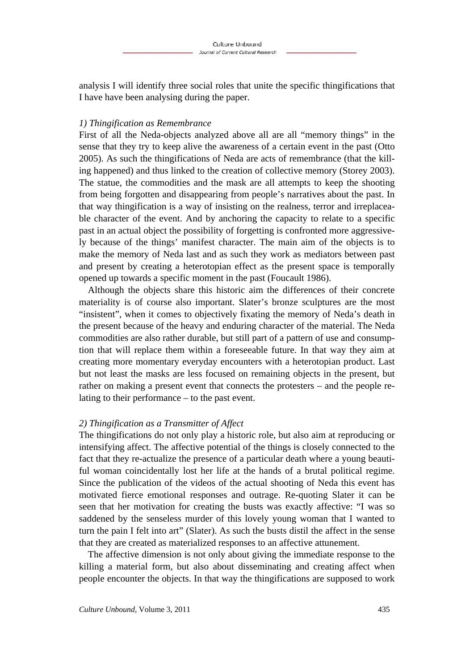analysis I will identify three social roles that unite the specific thingifications that I have have been analysing during the paper.

### *1) Thingification as Remembrance*

First of all the Neda-objects analyzed above all are all "memory things" in the sense that they try to keep alive the awareness of a certain event in the past (Otto 2005). As such the thingifications of Neda are acts of remembrance (that the killing happened) and thus linked to the creation of collective memory (Storey 2003). The statue, the commodities and the mask are all attempts to keep the shooting from being forgotten and disappearing from people's narratives about the past. In that way thingification is a way of insisting on the realness, terror and irreplaceable character of the event. And by anchoring the capacity to relate to a specific past in an actual object the possibility of forgetting is confronted more aggressively because of the things' manifest character. The main aim of the objects is to make the memory of Neda last and as such they work as mediators between past and present by creating a heterotopian effect as the present space is temporally opened up towards a specific moment in the past (Foucault 1986).

Although the objects share this historic aim the differences of their concrete materiality is of course also important. Slater's bronze sculptures are the most "insistent", when it comes to objectively fixating the memory of Neda's death in the present because of the heavy and enduring character of the material. The Neda commodities are also rather durable, but still part of a pattern of use and consumption that will replace them within a foreseeable future. In that way they aim at creating more momentary everyday encounters with a heterotopian product. Last but not least the masks are less focused on remaining objects in the present, but rather on making a present event that connects the protesters – and the people relating to their performance – to the past event.

### *2) Thingification as a Transmitter of Affect*

The thingifications do not only play a historic role, but also aim at reproducing or intensifying affect. The affective potential of the things is closely connected to the fact that they re-actualize the presence of a particular death where a young beautiful woman coincidentally lost her life at the hands of a brutal political regime. Since the publication of the videos of the actual shooting of Neda this event has motivated fierce emotional responses and outrage. Re-quoting Slater it can be seen that her motivation for creating the busts was exactly affective: "I was so saddened by the senseless murder of this lovely young woman that I wanted to turn the pain I felt into art" (Slater). As such the busts distil the affect in the sense that they are created as materialized responses to an affective attunement.

The affective dimension is not only about giving the immediate response to the killing a material form, but also about disseminating and creating affect when people encounter the objects. In that way the thingifications are supposed to work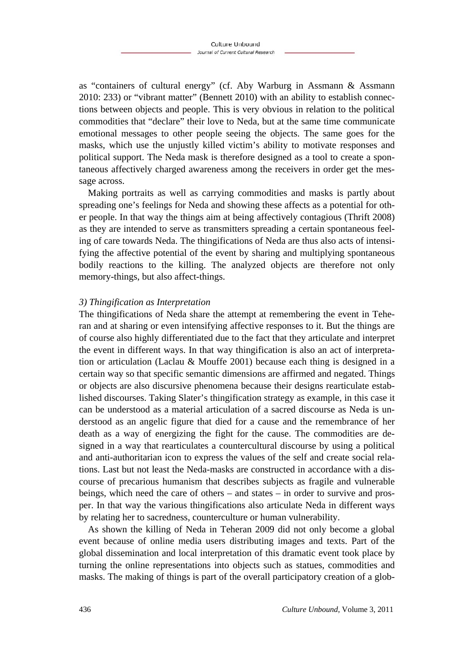as "containers of cultural energy" (cf. Aby Warburg in Assmann & Assmann 2010: 233) or "vibrant matter" (Bennett 2010) with an ability to establish connections between objects and people. This is very obvious in relation to the political commodities that "declare" their love to Neda, but at the same time communicate emotional messages to other people seeing the objects. The same goes for the masks, which use the unjustly killed victim's ability to motivate responses and political support. The Neda mask is therefore designed as a tool to create a spontaneous affectively charged awareness among the receivers in order get the message across.

Making portraits as well as carrying commodities and masks is partly about spreading one's feelings for Neda and showing these affects as a potential for other people. In that way the things aim at being affectively contagious (Thrift 2008) as they are intended to serve as transmitters spreading a certain spontaneous feeling of care towards Neda. The thingifications of Neda are thus also acts of intensifying the affective potential of the event by sharing and multiplying spontaneous bodily reactions to the killing. The analyzed objects are therefore not only memory-things, but also affect-things.

#### *3) Thingification as Interpretation*

The thingifications of Neda share the attempt at remembering the event in Teheran and at sharing or even intensifying affective responses to it. But the things are of course also highly differentiated due to the fact that they articulate and interpret the event in different ways. In that way thingification is also an act of interpretation or articulation (Laclau & Mouffe 2001) because each thing is designed in a certain way so that specific semantic dimensions are affirmed and negated. Things or objects are also discursive phenomena because their designs rearticulate established discourses. Taking Slater's thingification strategy as example, in this case it can be understood as a material articulation of a sacred discourse as Neda is understood as an angelic figure that died for a cause and the remembrance of her death as a way of energizing the fight for the cause. The commodities are designed in a way that rearticulates a countercultural discourse by using a political and anti-authoritarian icon to express the values of the self and create social relations. Last but not least the Neda-masks are constructed in accordance with a discourse of precarious humanism that describes subjects as fragile and vulnerable beings, which need the care of others – and states – in order to survive and prosper. In that way the various thingifications also articulate Neda in different ways by relating her to sacredness, counterculture or human vulnerability.

As shown the killing of Neda in Teheran 2009 did not only become a global event because of online media users distributing images and texts. Part of the global dissemination and local interpretation of this dramatic event took place by turning the online representations into objects such as statues, commodities and masks. The making of things is part of the overall participatory creation of a glob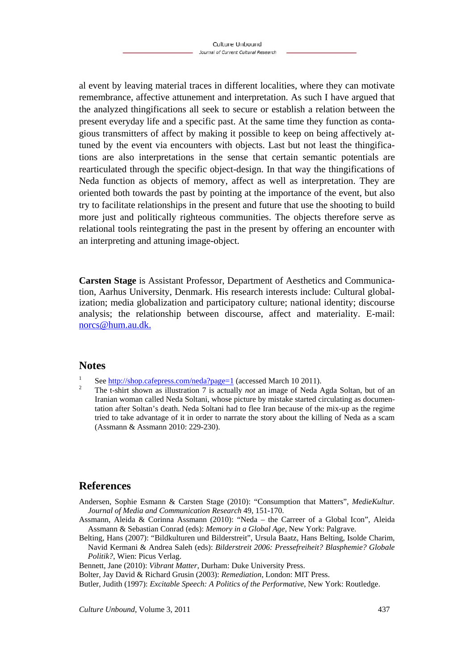al event by leaving material traces in different localities, where they can motivate remembrance, affective attunement and interpretation. As such I have argued that the analyzed thingifications all seek to secure or establish a relation between the present everyday life and a specific past. At the same time they function as contagious transmitters of affect by making it possible to keep on being affectively attuned by the event via encounters with objects. Last but not least the thingifications are also interpretations in the sense that certain semantic potentials are rearticulated through the specific object-design. In that way the thingifications of Neda function as objects of memory, affect as well as interpretation. They are oriented both towards the past by pointing at the importance of the event, but also try to facilitate relationships in the present and future that use the shooting to build more just and politically righteous communities. The objects therefore serve as relational tools reintegrating the past in the present by offering an encounter with an interpreting and attuning image-object.

**Carsten Stage** is Assistant Professor, Department of Aesthetics and Communication, Aarhus University, Denmark. His research interests include: Cultural globalization; media globalization and participatory culture; national identity; discourse analysis; the relationship between discourse, affect and materiality. E-mail: norcs@hum.au.dk.

#### **Notes**

- 1 See http://shop.cafepress.com/neda?page=1 (accessed March 10 2011).
- The t-shirt shown as illustration 7 is actually *not* an image of Neda Agda Soltan, but of an Iranian woman called Neda Soltani, whose picture by mistake started circulating as documentation after Soltan's death. Neda Soltani had to flee Iran because of the mix-up as the regime tried to take advantage of it in order to narrate the story about the killing of Neda as a scam (Assmann & Assmann 2010: 229-230).

### **References**

- Andersen, Sophie Esmann & Carsten Stage (2010): "Consumption that Matters", *MedieKultur. Journal of Media and Communication Research* 49, 151-170.
- Assmann, Aleida & Corinna Assmann (2010): "Neda the Carreer of a Global Icon", Aleida Assmann & Sebastian Conrad (eds): *Memory in a Global Age*, New York: Palgrave.
- Belting, Hans (2007): "Bildkulturen und Bilderstreit", Ursula Baatz, Hans Belting, Isolde Charim, Navid Kermani & Andrea Saleh (eds): *Bilderstreit 2006: Pressefreiheit? Blasphemie? Globale Politik?*, Wien: Picus Verlag.
- Bennett, Jane (2010): *Vibrant Matter*, Durham: Duke University Press.
- Bolter, Jay David & Richard Grusin (2003): *Remediation*, London: MIT Press.
- Butler, Judith (1997): *Excitable Speech: A Politics of the Performative*, New York: Routledge.